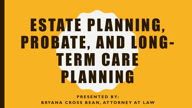# ESTATE PLANNING, PROBATE, AND LONG-TERM CARE PLANNING

**PRESENTED BY: BRYANA CROSS BEAN, ATTORNEY AT LAW**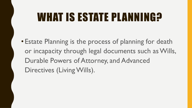#### WHAT IS ESTATE PLANNING?

• Estate Planning is the process of planning for death or incapacity through legal documents such as Wills, Durable Powers of Attorney, and Advanced Directives (Living Wills).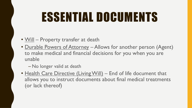#### ESSENTIAL DOCUMENTS

- Will Property transfer at death
- Durable Powers of Attorney Allows for another person (Agent) to make medical and financial decisions for you when you are unable
	- No longer valid at death
- Health Care Directive (Living Will) End of life document that allows you to instruct documents about final medical treatments (or lack thereof)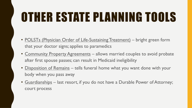#### OTHER ESTATE PLANNING TOOLS

- POLSTs (Physician Order of Life-Sustaining Treatment) bright green form that your doctor signs; applies to paramedics
- Community Property Agreements allows married couples to avoid probate after first spouse passes; can result in Medicaid ineligibility
- Disposition of Remains tells funeral home what you want done with your body when you pass away
- Guardianships last resort, if you do not have a Durable Power of Attorney; court process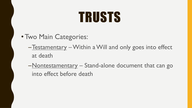### TRUSTS

- Two Main Categories:
	- –**Testamentary** Within a Will and only goes into effect at death
	- –Nontestamentary Stand-alone document that can go into effect before death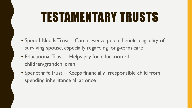#### TESTAMENTARY TRUSTS

- Special Needs Trust Can preserve public benefit eligibility of surviving spouse, especially regarding long-term care
- **Educational Trust** Helps pay for education of children/grandchildren
- Spendthrift Trust Keeps financially irresponsible child from spending inheritance all at once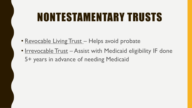#### NONTESTAMENTARY TRUSTS

- Revocable Living Trust Helps avoid probate
- Irrevocable Trust Assist with Medicaid eligibility IF done 5+ years in advance of needing Medicaid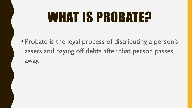### WHAT IS PROBATE?

• Probate is the legal process of distributing a person's assets and paying off debts after that person passes away.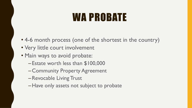#### WA PROBATE

- 4-6 month process (one of the shortest in the country)
- Very little court involvement
- Main ways to avoid probate:
	- Estate worth less than \$100,000
	- Community Property Agreement
	- –Revocable Living Trust
	- –Have only assets not subject to probate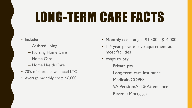## LONG-TERM CARE FACTS

- Includes:
	- Assisted Living
	- Nursing Home Care
	- Home Care
	- Home Health Care
- 70% of all adults will need LTC
- Average monthly cost: \$6,000
- Monthly cost range: \$1,500 \$14,000
- 1-4 year private pay requirement at most facilities
- Ways to pay:
	- Private pay
	- Long-term care insurance
	- Medicaid/COPES
	- VA Pension/Aid & Attendance
	- Reverse Mortgage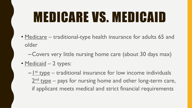## MEDICARE VS. MEDICAID

- Medicare traditional-type health insurance for adults 65 and older
	- –Covers very little nursing home care (about 30 days max)
- Medicaid 2 types:
	- $-\frac{1}{s}$  type traditional insurance for low income individuals  $2<sup>nd</sup>$  type – pays for nursing home and other long-term care, if applicant meets medical and strict financial requirements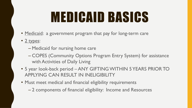## MEDICAID BASICS

- Medicaid: a government program that pay for long-term care
- 2 types:
	- Medicaid for nursing home care
	- COPES (Community Options Program Entry System) for assistance with Activities of Daily Living
- 5 year look-back period ANY GIFTING WITHIN 5 YEARS PRIOR TO APPLYING CAN RESULT IN INELIGIBILITY
- Must meet medical and financial eligibility requirements
	- 2 components of financial eligibility: Income and Resources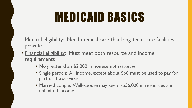#### MEDICAID BASICS

- –Medical eligibility: Need medical care that long-term care facilities provide
- Financial eligibility: Must meet both resource and income requirements
	- No greater than \$2,000 in nonexempt *resources*.
	- Single person: All income, except about \$60 must be used to pay for part of the services.
	- Married couple: Well-spouse may keep ~\$56,000 in resources and unlimited income.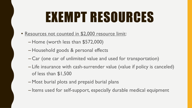## EXEMPT RESOURCES

- Resources not counted in \$2,000 resource limit:
	- Home (worth less than \$572,000)
	- Household goods & personal effects
	- Car (one car of unlimited value and used for transportation)
	- Life insurance with cash-surrender value (value if policy is canceled) of less than \$1,500
	- Most burial plots and prepaid burial plans
	- Items used for self-support, especially durable medical equipment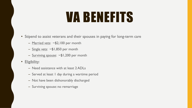#### VA BENEFITS

- Stipend to assist veterans and their spouses in paying for long-term care
	- Married vets: ~\$2,100 per month
	- Single vets: ~\$1,850 per month
	- Surviving spouse: ~\$1,200 per month
- Eligibility:
	- Need assistance with at least 2 ADLs
	- Served at least 1 day during a wartime period
	- Not have been dishonorably discharged
	- Surviving spouse: no remarriage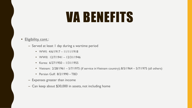#### VA BENEFITS

#### • Eligibility, cont.:

- Served at least 1 day during a wartime period
	- WWI:  $4/6/1917 11/11/1918$
	- WWII: 12/7/1941 12/31/1946
	- Korea: 6/27/1950 1/31/1955
	- Vietnam:  $2/28/1961 5/7/1975$  (if service in Vietnam country);  $8/5/1964 5/7/1975$  (all others)
	- Persian Gulf: 8/2/1990 TBD
- Expenses greater than income
- Can keep about \$30,000 in assets, not including home